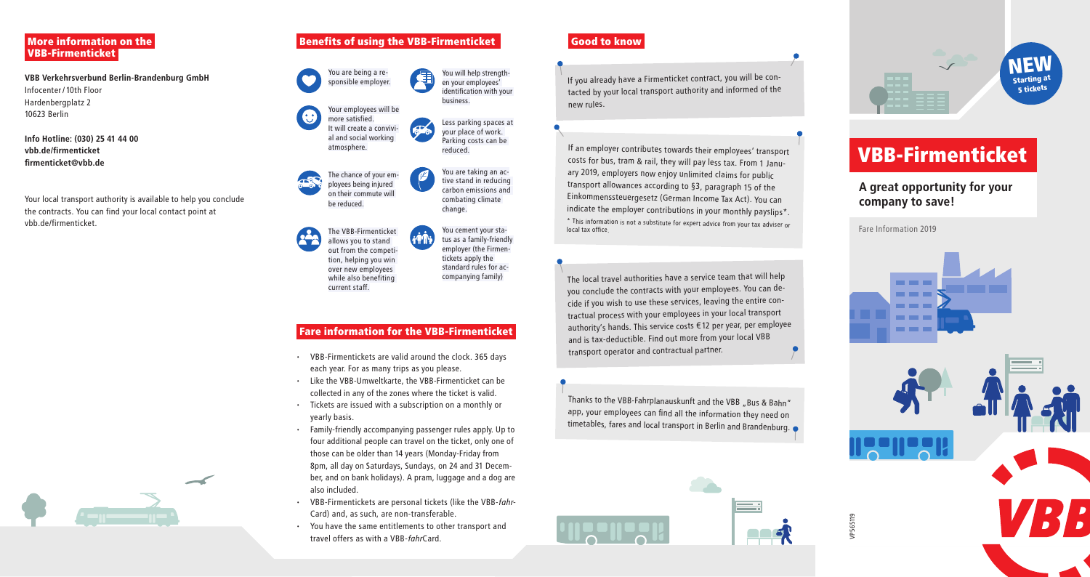If you already have a Firmenticket contract, you will be contacted by your local transport authority and informed of the new rules.

# Benefits of using the VBB-Firmenticket

You are being a responsible employer.

Your employees will be more satisfied. It will create a convivial and social working atmosphere.



The VBB-Firmenticket allows you to stand out from the competition, helping you win over new employees while also benefiting current staff.

You will help strengthen your employees' identification with your

business.

Less parking spaces at your place of work. Parking costs can be

reduced.

You are taking an active stand in reducing carbon emissions and combating climate

change.

You cement your status as a family-friendly employer (the Firmentickets apply the standard rules for accompanying family)

# More information on the VBB-Firmenticket

**VBB Verkehrsverbund Berlin-Brandenburg GmbH** Infocenter/10th Floor Hardenbergplatz 2 10623 Berlin

**Info Hotline: (030) 25 41 44 00 vbb.de/firmenticket firmenticket@vbb.de**

Your local transport authority is available to help you conclude the contracts. You can find your local contact point at vbb.de/firmenticket.



# VBB-Firmenticket

# **A great opportunity for your company to save!**





The local travel authorities have a service team that will help you conclude the contracts with your employees. You can decide if you wish to use these services, leaving the entire contractual process with your employees in your local transport authority's hands. This service costs €12 per year, per employee and is tax-deductible. Find out more from your local VBB transport operator and contractual partner.

Thanks to the VBB-Fahrplanauskunft and the VBB "Bus & Bahn" app, your employees can find all the information they need on timetables, fares and local transport in Berlin and Brandenburg.



If an employer contributes towards their employees' transport costs for bus, tram & rail, they will pay less tax. From 1 January 2019, employers now enjoy unlimited claims for public transport allowances according to §3, paragraph 15 of the Einkommenssteuergesetz (German Income Tax Act). You can indicate the employer contributions in your monthly payslips\*.

\* This information is not a substitute for expert advice from your tax adviser or local tax office. Fare Information 2019

# Good to know

# Fare information for the VBB-Firmenticket

**i** filli

- VBB-Firmentickets are valid around the clock. 365 days each year. For as many trips as you please.
- Like the VBB-Umweltkarte, the VBB-Firmenticket can be collected in any of the zones where the ticket is valid.
- Tickets are issued with a subscription on a monthly or yearly basis.
- Family-friendly accompanying passenger rules apply. Up to four additional people can travel on the ticket, only one of those can be older than 14 years (Monday-Friday from 8pm, all day on Saturdays, Sundays, on 24 and 31 December, and on bank holidays). A pram, luggage and a dog are also included.
- VBB-Firmentickets are personal tickets (like the VBB-*fahr-*Card) and, as such, are non-transferable.
- You have the same entitlements to other transport and travel offers as with a VBB-*fahr*Card.